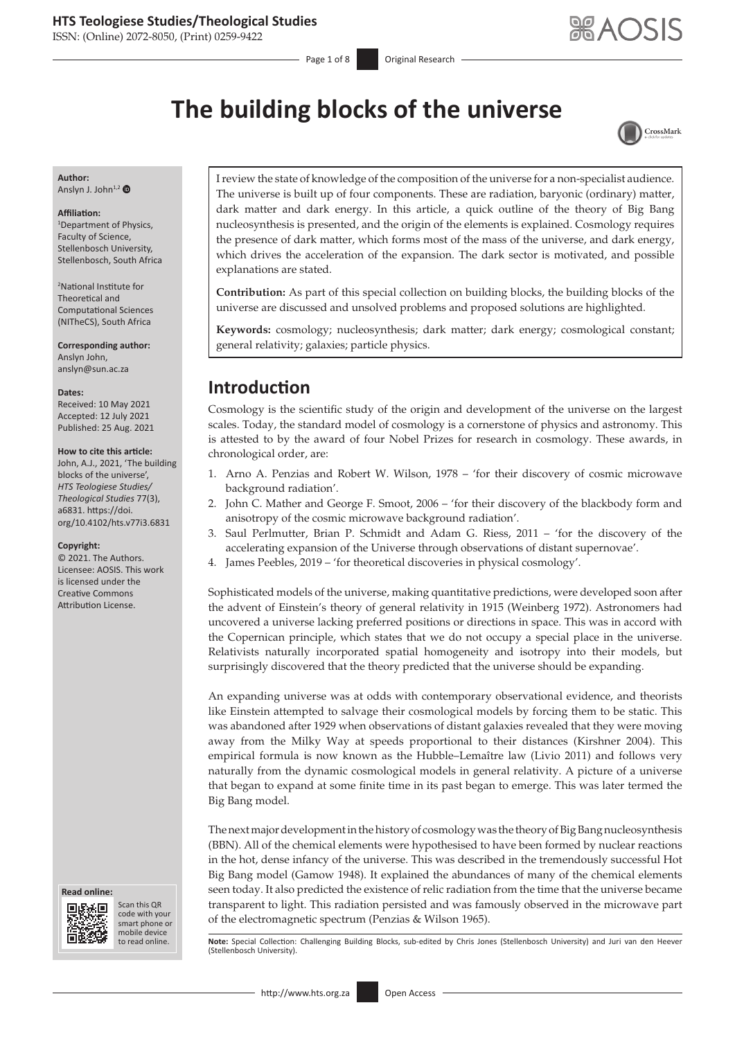ISSN: (Online) 2072-8050, (Print) 0259-9422

Page 1 of 8 Original Research

# **The building blocks of the universe**



**Author:** Anslyn J. John<sup>1,[2](https://orcid.org/0000-0002-8577-4122)</sup>

#### **Affiliation:**

1 Department of Physics, Faculty of Science, Stellenbosch University, Stellenbosch, South Africa

2 National Institute for Theoretical and Computational Sciences (NITheCS), South Africa

**Corresponding author:** Anslyn John, [anslyn@sun.ac.za](mailto:anslyn@sun.ac.za)

#### **Dates:**

Received: 10 May 2021 Accepted: 12 July 2021 Published: 25 Aug. 2021

#### **How to cite this article:**

John, A.J., 2021, 'The building blocks of the universe', *HTS Teologiese Studies/ Theological Studies* 77(3), a6831. [https://doi.](https://doi.org/10.4102/hts.v77i3.6831) [org/10.4102/hts.v77i3.6831](https://doi.org/10.4102/hts.v77i3.6831)

#### **Copyright:**

© 2021. The Authors. Licensee: AOSIS. This work is licensed under the Creative Commons Attribution License.





Scan this QR code with your Scan this QR<br>code with your<br>smart phone or<br>mobile device mobile device to read online.

I review the state of knowledge of the composition of the universe for a non-specialist audience. The universe is built up of four components. These are radiation, baryonic (ordinary) matter, dark matter and dark energy. In this article, a quick outline of the theory of Big Bang nucleosynthesis is presented, and the origin of the elements is explained. Cosmology requires the presence of dark matter, which forms most of the mass of the universe, and dark energy, which drives the acceleration of the expansion. The dark sector is motivated, and possible explanations are stated.

**Contribution:** As part of this special collection on building blocks, the building blocks of the universe are discussed and unsolved problems and proposed solutions are highlighted.

**Keywords:** cosmology; nucleosynthesis; dark matter; dark energy; cosmological constant; general relativity; galaxies; particle physics.

# **Introduction**

Cosmology is the scientific study of the origin and development of the universe on the largest scales. Today, the standard model of cosmology is a cornerstone of physics and astronomy. This is attested to by the award of four Nobel Prizes for research in cosmology. These awards, in chronological order, are:

- 1. Arno A. Penzias and Robert W. Wilson, 1978 'for their discovery of cosmic microwave background radiation'.
- 2. John C. Mather and George F. Smoot, 2006 'for their discovery of the blackbody form and anisotropy of the cosmic microwave background radiation'.
- 3. Saul Perlmutter, Brian P. Schmidt and Adam G. Riess, 2011 'for the discovery of the accelerating expansion of the Universe through observations of distant supernovae'.
- 4. James Peebles, 2019 'for theoretical discoveries in physical cosmology'.

Sophisticated models of the universe, making quantitative predictions, were developed soon after the advent of Einstein's theory of general relativity in 1915 (Weinberg 1972). Astronomers had uncovered a universe lacking preferred positions or directions in space. This was in accord with the Copernican principle, which states that we do not occupy a special place in the universe. Relativists naturally incorporated spatial homogeneity and isotropy into their models, but surprisingly discovered that the theory predicted that the universe should be expanding.

An expanding universe was at odds with contemporary observational evidence, and theorists like Einstein attempted to salvage their cosmological models by forcing them to be static. This was abandoned after 1929 when observations of distant galaxies revealed that they were moving away from the Milky Way at speeds proportional to their distances (Kirshner 2004). This empirical formula is now known as the Hubble–Lemaître law (Livio 2011) and follows very naturally from the dynamic cosmological models in general relativity. A picture of a universe that began to expand at some finite time in its past began to emerge. This was later termed the Big Bang model.

The next major development in the history of cosmology was the theory of Big Bang nucleosynthesis (BBN). All of the chemical elements were hypothesised to have been formed by nuclear reactions in the hot, dense infancy of the universe. This was described in the tremendously successful Hot Big Bang model (Gamow 1948). It explained the abundances of many of the chemical elements seen today. It also predicted the existence of relic radiation from the time that the universe became transparent to light. This radiation persisted and was famously observed in the microwave part of the electromagnetic spectrum (Penzias & Wilson 1965).

Note: Special Collection: Challenging Building Blocks, sub-edited by Chris Jones (Stellenbosch University) and Juri van den Heever (Stellenbosch University).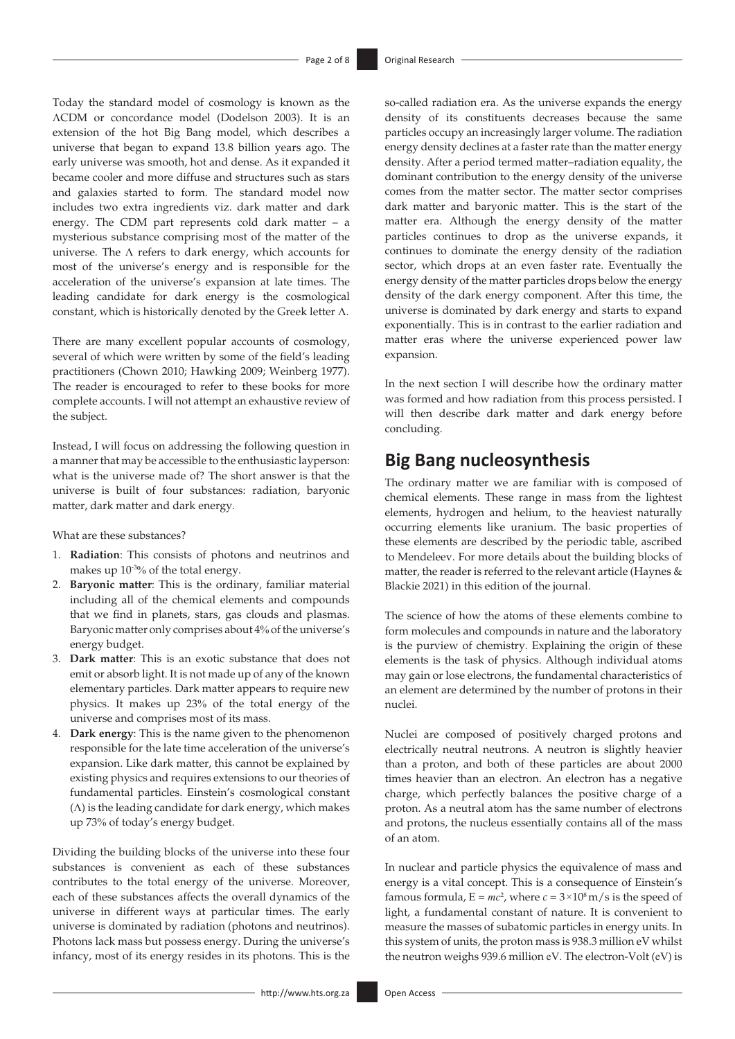Today the standard model of cosmology is known as the ΛCDM or concordance model (Dodelson 2003). It is an extension of the hot Big Bang model, which describes a universe that began to expand 13.8 billion years ago. The early universe was smooth, hot and dense. As it expanded it became cooler and more diffuse and structures such as stars and galaxies started to form. The standard model now includes two extra ingredients viz. dark matter and dark energy. The CDM part represents cold dark matter – a mysterious substance comprising most of the matter of the universe. The  $\Lambda$  refers to dark energy, which accounts for most of the universe's energy and is responsible for the acceleration of the universe's expansion at late times. The leading candidate for dark energy is the cosmological constant, which is historically denoted by the Greek letter Λ.

There are many excellent popular accounts of cosmology, several of which were written by some of the field's leading practitioners (Chown 2010; Hawking 2009; Weinberg 1977). The reader is encouraged to refer to these books for more complete accounts. I will not attempt an exhaustive review of the subject.

Instead, I will focus on addressing the following question in a manner that may be accessible to the enthusiastic layperson: what is the universe made of? The short answer is that the universe is built of four substances: radiation, baryonic matter, dark matter and dark energy.

What are these substances?

- 1. **Radiation**: This consists of photons and neutrinos and makes up 10<sup>-30</sup>% of the total energy.
- 2. **Baryonic matter**: This is the ordinary, familiar material including all of the chemical elements and compounds that we find in planets, stars, gas clouds and plasmas. Baryonic matter only comprises about 4% of the universe's energy budget.
- 3. **Dark matter**: This is an exotic substance that does not emit or absorb light. It is not made up of any of the known elementary particles. Dark matter appears to require new physics. It makes up 23% of the total energy of the universe and comprises most of its mass.
- 4. **Dark energy**: This is the name given to the phenomenon responsible for the late time acceleration of the universe's expansion. Like dark matter, this cannot be explained by existing physics and requires extensions to our theories of fundamental particles. Einstein's cosmological constant (Λ) is the leading candidate for dark energy, which makes up 73% of today's energy budget.

Dividing the building blocks of the universe into these four substances is convenient as each of these substances contributes to the total energy of the universe. Moreover, each of these substances affects the overall dynamics of the universe in different ways at particular times. The early universe is dominated by radiation (photons and neutrinos). Photons lack mass but possess energy. During the universe's infancy, most of its energy resides in its photons. This is the

so-called radiation era. As the universe expands the energy density of its constituents decreases because the same particles occupy an increasingly larger volume. The radiation energy density declines at a faster rate than the matter energy density. After a period termed matter–radiation equality, the dominant contribution to the energy density of the universe comes from the matter sector. The matter sector comprises dark matter and baryonic matter. This is the start of the matter era. Although the energy density of the matter particles continues to drop as the universe expands, it continues to dominate the energy density of the radiation sector, which drops at an even faster rate. Eventually the energy density of the matter particles drops below the energy density of the dark energy component. After this time, the universe is dominated by dark energy and starts to expand exponentially. This is in contrast to the earlier radiation and matter eras where the universe experienced power law expansion.

In the next section I will describe how the ordinary matter was formed and how radiation from this process persisted. I will then describe dark matter and dark energy before concluding.

# **Big Bang nucleosynthesis**

The ordinary matter we are familiar with is composed of chemical elements. These range in mass from the lightest elements, hydrogen and helium, to the heaviest naturally occurring elements like uranium. The basic properties of these elements are described by the periodic table, ascribed to Mendeleev. For more details about the building blocks of matter, the reader is referred to the relevant article (Haynes & Blackie 2021) in this edition of the journal.

The science of how the atoms of these elements combine to form molecules and compounds in nature and the laboratory is the purview of chemistry. Explaining the origin of these elements is the task of physics. Although individual atoms may gain or lose electrons, the fundamental characteristics of an element are determined by the number of protons in their nuclei.

Nuclei are composed of positively charged protons and electrically neutral neutrons. A neutron is slightly heavier than a proton, and both of these particles are about 2000 times heavier than an electron. An electron has a negative charge, which perfectly balances the positive charge of a proton. As a neutral atom has the same number of electrons and protons, the nucleus essentially contains all of the mass of an atom.

In nuclear and particle physics the equivalence of mass and energy is a vital concept. This is a consequence of Einstein's famous formula,  $E = mc^2$ , where  $c = 3 \times 10^8$  m/s is the speed of light, a fundamental constant of nature. It is convenient to measure the masses of subatomic particles in energy units. In this system of units, the proton mass is 938.3 million eV whilst the neutron weighs 939.6 million eV. The electron-Volt (eV) is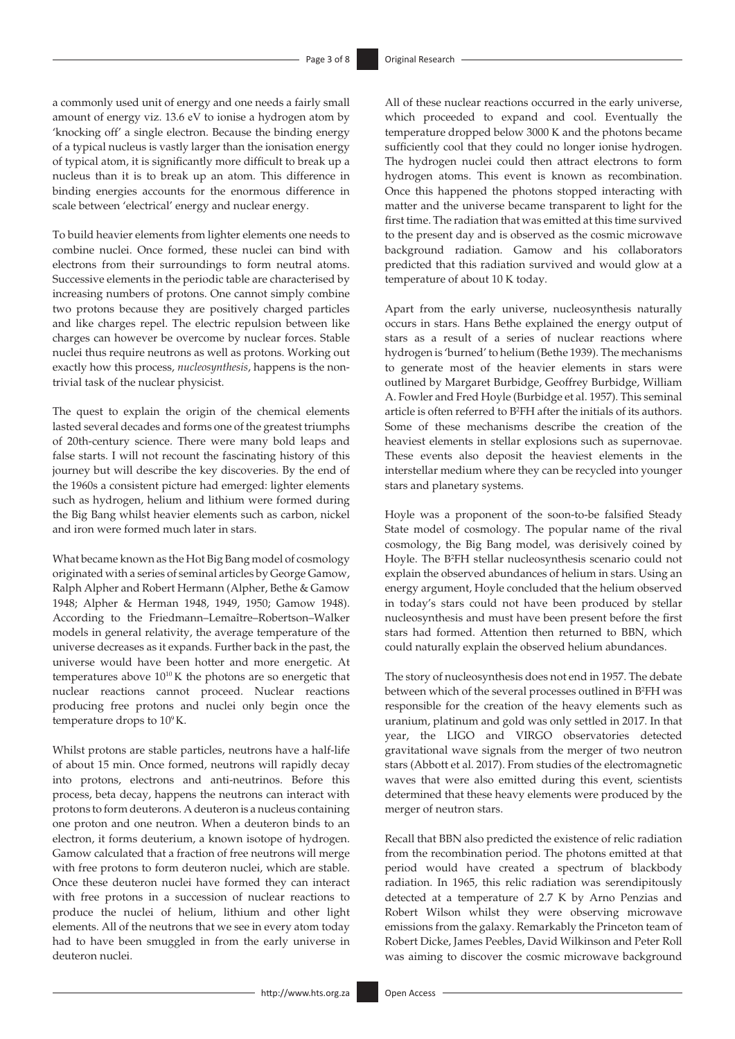a commonly used unit of energy and one needs a fairly small amount of energy viz. 13.6 eV to ionise a hydrogen atom by 'knocking off' a single electron. Because the binding energy of a typical nucleus is vastly larger than the ionisation energy of typical atom, it is significantly more difficult to break up a nucleus than it is to break up an atom. This difference in binding energies accounts for the enormous difference in scale between 'electrical' energy and nuclear energy.

To build heavier elements from lighter elements one needs to combine nuclei. Once formed, these nuclei can bind with electrons from their surroundings to form neutral atoms. Successive elements in the periodic table are characterised by increasing numbers of protons. One cannot simply combine two protons because they are positively charged particles and like charges repel. The electric repulsion between like charges can however be overcome by nuclear forces. Stable nuclei thus require neutrons as well as protons. Working out exactly how this process, *nucleosynthesis*, happens is the nontrivial task of the nuclear physicist.

The quest to explain the origin of the chemical elements lasted several decades and forms one of the greatest triumphs of 20th-century science. There were many bold leaps and false starts. I will not recount the fascinating history of this journey but will describe the key discoveries. By the end of the 1960s a consistent picture had emerged: lighter elements such as hydrogen, helium and lithium were formed during the Big Bang whilst heavier elements such as carbon, nickel and iron were formed much later in stars.

What became known as the Hot Big Bang model of cosmology originated with a series of seminal articles by George Gamow, Ralph Alpher and Robert Hermann (Alpher, Bethe & Gamow 1948; Alpher & Herman 1948, 1949, 1950; Gamow 1948). According to the Friedmann–Lemaître–Robertson–Walker models in general relativity, the average temperature of the universe decreases as it expands. Further back in the past, the universe would have been hotter and more energetic. At temperatures above  $10^{10}$  K the photons are so energetic that nuclear reactions cannot proceed. Nuclear reactions producing free protons and nuclei only begin once the temperature drops to 109 K.

Whilst protons are stable particles, neutrons have a half-life of about 15 min. Once formed, neutrons will rapidly decay into protons, electrons and anti-neutrinos. Before this process, beta decay, happens the neutrons can interact with protons to form deuterons. A deuteron is a nucleus containing one proton and one neutron. When a deuteron binds to an electron, it forms deuterium, a known isotope of hydrogen. Gamow calculated that a fraction of free neutrons will merge with free protons to form deuteron nuclei, which are stable. Once these deuteron nuclei have formed they can interact with free protons in a succession of nuclear reactions to produce the nuclei of helium, lithium and other light elements. All of the neutrons that we see in every atom today had to have been smuggled in from the early universe in deuteron nuclei.

All of these nuclear reactions occurred in the early universe, which proceeded to expand and cool. Eventually the temperature dropped below 3000 K and the photons became sufficiently cool that they could no longer ionise hydrogen. The hydrogen nuclei could then attract electrons to form hydrogen atoms. This event is known as recombination. Once this happened the photons stopped interacting with matter and the universe became transparent to light for the first time. The radiation that was emitted at this time survived to the present day and is observed as the cosmic microwave background radiation. Gamow and his collaborators predicted that this radiation survived and would glow at a temperature of about 10 K today.

Apart from the early universe, nucleosynthesis naturally occurs in stars. Hans Bethe explained the energy output of stars as a result of a series of nuclear reactions where hydrogen is 'burned' to helium (Bethe 1939). The mechanisms to generate most of the heavier elements in stars were outlined by Margaret Burbidge, Geoffrey Burbidge, William A. Fowler and Fred Hoyle (Burbidge et al. 1957). This seminal article is often referred to B2 FH after the initials of its authors. Some of these mechanisms describe the creation of the heaviest elements in stellar explosions such as supernovae. These events also deposit the heaviest elements in the interstellar medium where they can be recycled into younger stars and planetary systems.

Hoyle was a proponent of the soon-to-be falsified Steady State model of cosmology. The popular name of the rival cosmology, the Big Bang model, was derisively coined by Hoyle. The B<sup>2</sup>FH stellar nucleosynthesis scenario could not explain the observed abundances of helium in stars. Using an energy argument, Hoyle concluded that the helium observed in today's stars could not have been produced by stellar nucleosynthesis and must have been present before the first stars had formed. Attention then returned to BBN, which could naturally explain the observed helium abundances.

The story of nucleosynthesis does not end in 1957. The debate between which of the several processes outlined in B<sup>2</sup>FH was responsible for the creation of the heavy elements such as uranium, platinum and gold was only settled in 2017. In that year, the LIGO and VIRGO observatories detected gravitational wave signals from the merger of two neutron stars (Abbott et al. 2017). From studies of the electromagnetic waves that were also emitted during this event, scientists determined that these heavy elements were produced by the merger of neutron stars.

Recall that BBN also predicted the existence of relic radiation from the recombination period. The photons emitted at that period would have created a spectrum of blackbody radiation. In 1965, this relic radiation was serendipitously detected at a temperature of 2.7 K by Arno Penzias and Robert Wilson whilst they were observing microwave emissions from the galaxy. Remarkably the Princeton team of Robert Dicke, James Peebles, David Wilkinson and Peter Roll was aiming to discover the cosmic microwave background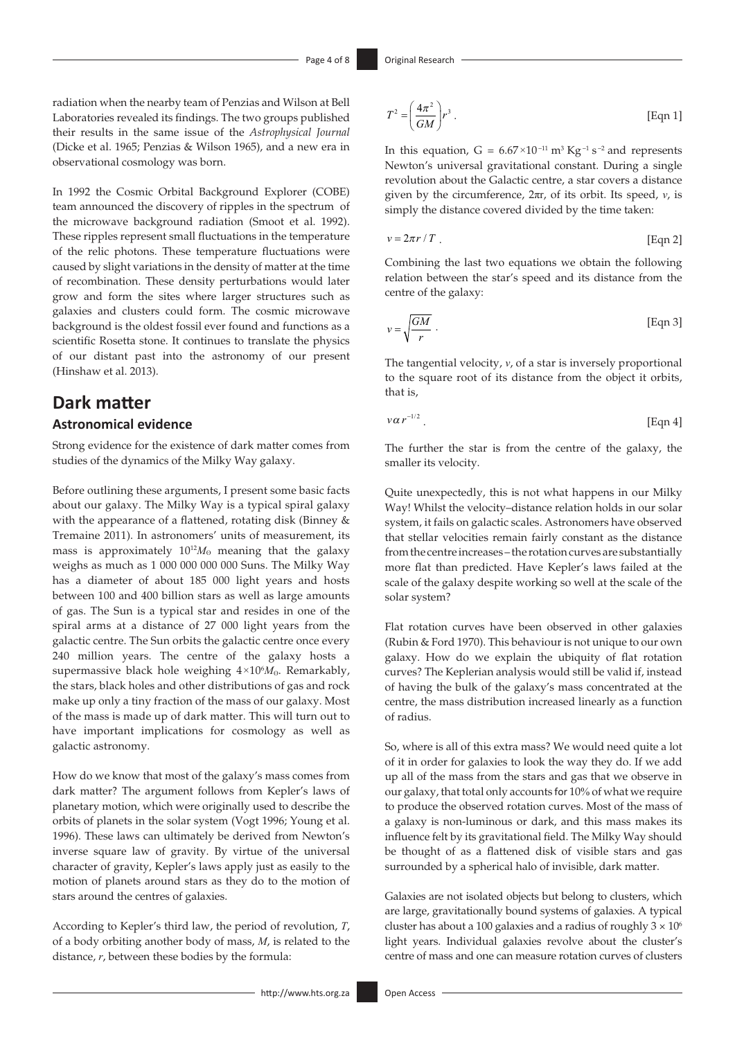radiation when the nearby team of Penzias and Wilson at Bell Laboratories revealed its findings. The two groups published their results in the same issue of the *Astrophysical Journal* (Dicke et al. 1965; Penzias & Wilson 1965), and a new era in observational cosmology was born.

In 1992 the Cosmic Orbital Background Explorer (COBE) team announced the discovery of ripples in the spectrum of the microwave background radiation (Smoot et al. 1992). These ripples represent small fluctuations in the temperature of the relic photons. These temperature fluctuations were caused by slight variations in the density of matter at the time of recombination. These density perturbations would later grow and form the sites where larger structures such as galaxies and clusters could form. The cosmic microwave background is the oldest fossil ever found and functions as a scientific Rosetta stone. It continues to translate the physics of our distant past into the astronomy of our present (Hinshaw et al. 2013).

## **Dark matter**

### **Astronomical evidence**

Strong evidence for the existence of dark matter comes from studies of the dynamics of the Milky Way galaxy.

Before outlining these arguments, I present some basic facts about our galaxy. The Milky Way is a typical spiral galaxy with the appearance of a flattened, rotating disk (Binney & Tremaine 2011). In astronomers' units of measurement, its mass is approximately  $10^{12}M_{\odot}$  meaning that the galaxy weighs as much as 1 000 000 000 000 Suns. The Milky Way has a diameter of about 185 000 light years and hosts between 100 and 400 billion stars as well as large amounts of gas. The Sun is a typical star and resides in one of the spiral arms at a distance of 27 000 light years from the galactic centre. The Sun orbits the galactic centre once every 240 million years. The centre of the galaxy hosts a supermassive black hole weighing  $4\times10^{6}M_{\odot}$ . Remarkably, the stars, black holes and other distributions of gas and rock make up only a tiny fraction of the mass of our galaxy. Most of the mass is made up of dark matter. This will turn out to have important implications for cosmology as well as galactic astronomy.

How do we know that most of the galaxy's mass comes from dark matter? The argument follows from Kepler's laws of planetary motion, which were originally used to describe the orbits of planets in the solar system (Vogt 1996; Young et al. 1996). These laws can ultimately be derived from Newton's inverse square law of gravity. By virtue of the universal character of gravity, Kepler's laws apply just as easily to the motion of planets around stars as they do to the motion of stars around the centres of galaxies.

According to Kepler's third law, the period of revolution, *T*, of a body orbiting another body of mass, *M*, is related to the distance, *r*, between these bodies by the formula:

$$
T^{2} = \left(\frac{4\pi^{2}}{GM}\right)r^{3}.
$$
 [Eqn 1]

In this equation,  $G = 6.67 \times 10^{-11} \text{ m}^3 \text{ Kg}^{-1} \text{ s}^{-2}$  and represents Newton's universal gravitational constant. During a single revolution about the Galactic centre, a star covers a distance given by the circumference, 2πr, of its orbit. Its speed, *v*, is simply the distance covered divided by the time taken:

$$
v = 2\pi r / T
$$
 [Eqn 2]

Combining the last two equations we obtain the following relation between the star's speed and its distance from the centre of the galaxy:

$$
v = \sqrt{\frac{GM}{r}}.
$$
 [Eqn 3]

The tangential velocity, *v*, of a star is inversely proportional to the square root of its distance from the object it orbits, that is,

$$
v\alpha r^{-1/2} \tag{Eqn 4}
$$

The further the star is from the centre of the galaxy, the smaller its velocity.

Quite unexpectedly, this is not what happens in our Milky Way! Whilst the velocity–distance relation holds in our solar system, it fails on galactic scales. Astronomers have observed that stellar velocities remain fairly constant as the distance from the centre increases – the rotation curves are substantially more flat than predicted. Have Kepler's laws failed at the scale of the galaxy despite working so well at the scale of the solar system?

Flat rotation curves have been observed in other galaxies (Rubin & Ford 1970). This behaviour is not unique to our own galaxy. How do we explain the ubiquity of flat rotation curves? The Keplerian analysis would still be valid if, instead of having the bulk of the galaxy's mass concentrated at the centre, the mass distribution increased linearly as a function of radius.

So, where is all of this extra mass? We would need quite a lot of it in order for galaxies to look the way they do. If we add up all of the mass from the stars and gas that we observe in our galaxy, that total only accounts for 10% of what we require to produce the observed rotation curves. Most of the mass of a galaxy is non-luminous or dark, and this mass makes its influence felt by its gravitational field. The Milky Way should be thought of as a flattened disk of visible stars and gas surrounded by a spherical halo of invisible, dark matter.

Galaxies are not isolated objects but belong to clusters, which are large, gravitationally bound systems of galaxies. A typical cluster has about a 100 galaxies and a radius of roughly  $3 \times 10^6$ light years. Individual galaxies revolve about the cluster's centre of mass and one can measure rotation curves of clusters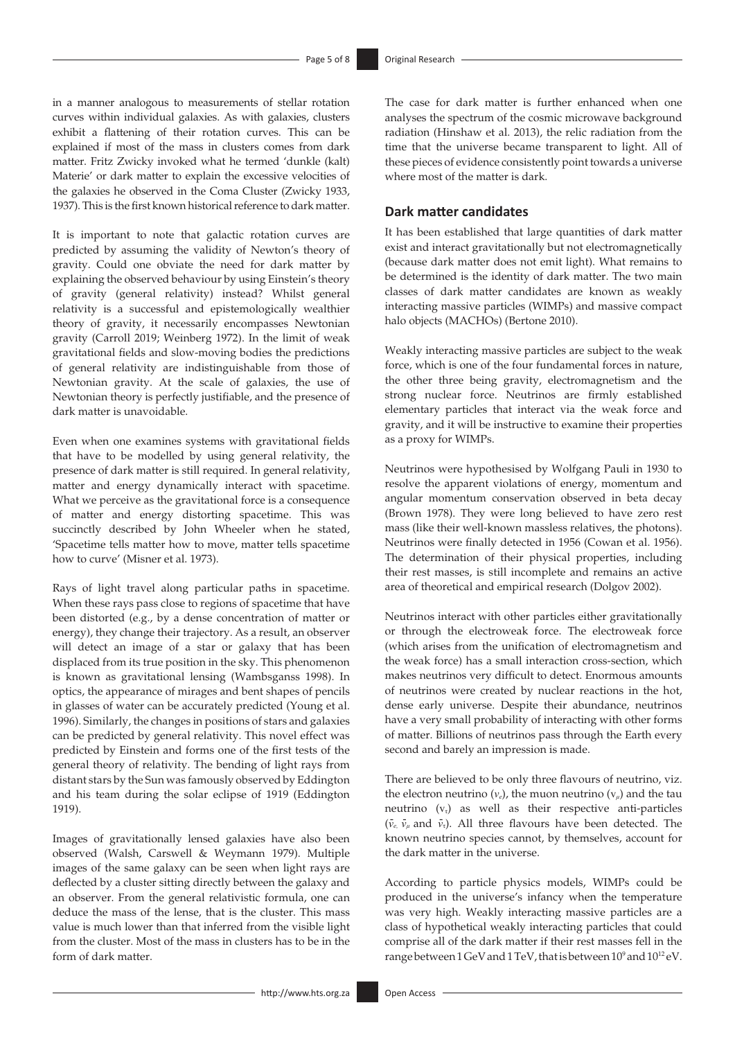in a manner analogous to measurements of stellar rotation curves within individual galaxies. As with galaxies, clusters exhibit a flattening of their rotation curves. This can be explained if most of the mass in clusters comes from dark matter. Fritz Zwicky invoked what he termed 'dunkle (kalt) Materie' or dark matter to explain the excessive velocities of the galaxies he observed in the Coma Cluster (Zwicky 1933, 1937). This is the first known historical reference to dark matter.

It is important to note that galactic rotation curves are predicted by assuming the validity of Newton's theory of gravity. Could one obviate the need for dark matter by explaining the observed behaviour by using Einstein's theory of gravity (general relativity) instead? Whilst general relativity is a successful and epistemologically wealthier theory of gravity, it necessarily encompasses Newtonian gravity (Carroll 2019; Weinberg 1972). In the limit of weak gravitational fields and slow-moving bodies the predictions of general relativity are indistinguishable from those of Newtonian gravity. At the scale of galaxies, the use of Newtonian theory is perfectly justifiable, and the presence of dark matter is unavoidable.

Even when one examines systems with gravitational fields that have to be modelled by using general relativity, the presence of dark matter is still required. In general relativity, matter and energy dynamically interact with spacetime. What we perceive as the gravitational force is a consequence of matter and energy distorting spacetime. This was succinctly described by John Wheeler when he stated, 'Spacetime tells matter how to move, matter tells spacetime how to curve' (Misner et al. 1973).

Rays of light travel along particular paths in spacetime. When these rays pass close to regions of spacetime that have been distorted (e.g., by a dense concentration of matter or energy), they change their trajectory. As a result, an observer will detect an image of a star or galaxy that has been displaced from its true position in the sky. This phenomenon is known as gravitational lensing (Wambsganss 1998). In optics, the appearance of mirages and bent shapes of pencils in glasses of water can be accurately predicted (Young et al. 1996). Similarly, the changes in positions of stars and galaxies can be predicted by general relativity. This novel effect was predicted by Einstein and forms one of the first tests of the general theory of relativity. The bending of light rays from distant stars by the Sun was famously observed by Eddington and his team during the solar eclipse of 1919 (Eddington 1919).

Images of gravitationally lensed galaxies have also been observed (Walsh, Carswell & Weymann 1979). Multiple images of the same galaxy can be seen when light rays are deflected by a cluster sitting directly between the galaxy and an observer. From the general relativistic formula, one can deduce the mass of the lense, that is the cluster. This mass value is much lower than that inferred from the visible light from the cluster. Most of the mass in clusters has to be in the form of dark matter.

The case for dark matter is further enhanced when one analyses the spectrum of the cosmic microwave background radiation (Hinshaw et al. 2013), the relic radiation from the time that the universe became transparent to light. All of these pieces of evidence consistently point towards a universe where most of the matter is dark.

### **Dark matter candidates**

It has been established that large quantities of dark matter exist and interact gravitationally but not electromagnetically (because dark matter does not emit light). What remains to be determined is the identity of dark matter. The two main classes of dark matter candidates are known as weakly interacting massive particles (WIMPs) and massive compact halo objects (MACHOs) (Bertone 2010).

Weakly interacting massive particles are subject to the weak force, which is one of the four fundamental forces in nature, the other three being gravity, electromagnetism and the strong nuclear force. Neutrinos are firmly established elementary particles that interact via the weak force and gravity, and it will be instructive to examine their properties as a proxy for WIMPs.

Neutrinos were hypothesised by Wolfgang Pauli in 1930 to resolve the apparent violations of energy, momentum and angular momentum conservation observed in beta decay (Brown 1978). They were long believed to have zero rest mass (like their well-known massless relatives, the photons). Neutrinos were finally detected in 1956 (Cowan et al. 1956). The determination of their physical properties, including their rest masses, is still incomplete and remains an active area of theoretical and empirical research (Dolgov 2002).

Neutrinos interact with other particles either gravitationally or through the electroweak force. The electroweak force (which arises from the unification of electromagnetism and the weak force) has a small interaction cross-section, which makes neutrinos very difficult to detect. Enormous amounts of neutrinos were created by nuclear reactions in the hot, dense early universe. Despite their abundance, neutrinos have a very small probability of interacting with other forms of matter. Billions of neutrinos pass through the Earth every second and barely an impression is made.

There are believed to be only three flavours of neutrino, viz. the electron neutrino  $(v_e)$ , the muon neutrino  $(v_u)$  and the tau neutrino  $(v<sub>t</sub>)$  as well as their respective anti-particles  $(\bar{v}_e, \bar{v}_\mu \text{ and } \bar{v}_\tau)$ . All three flavours have been detected. The known neutrino species cannot, by themselves, account for the dark matter in the universe.

According to particle physics models, WIMPs could be produced in the universe's infancy when the temperature was very high. Weakly interacting massive particles are a class of hypothetical weakly interacting particles that could comprise all of the dark matter if their rest masses fell in the range between 1 GeV and 1 TeV, that is between 10<sup>9</sup> and 10<sup>12</sup> eV.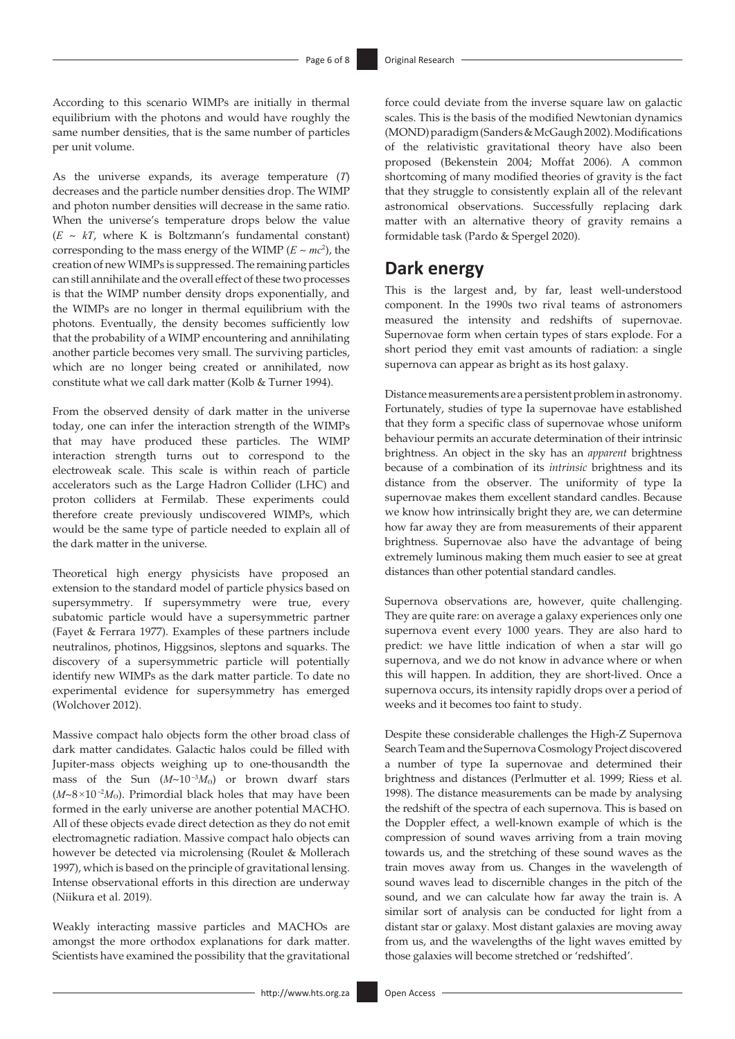According to this scenario WIMPs are initially in thermal equilibrium with the photons and would have roughly the same number densities, that is the same number of particles per unit volume.

As the universe expands, its average temperature (*T*) decreases and the particle number densities drop. The WIMP and photon number densities will decrease in the same ratio. When the universe's temperature drops below the value  $(E \sim kT$ , where K is Boltzmann's fundamental constant) corresponding to the mass energy of the WIMP  $(E \sim mc^2)$ , the creation of new WIMPs is suppressed. The remaining particles can still annihilate and the overall effect of these two processes is that the WIMP number density drops exponentially, and the WIMPs are no longer in thermal equilibrium with the photons. Eventually, the density becomes sufficiently low that the probability of a WIMP encountering and annihilating another particle becomes very small. The surviving particles, which are no longer being created or annihilated, now constitute what we call dark matter (Kolb & Turner 1994).

From the observed density of dark matter in the universe today, one can infer the interaction strength of the WIMPs that may have produced these particles. The WIMP interaction strength turns out to correspond to the electroweak scale. This scale is within reach of particle accelerators such as the Large Hadron Collider (LHC) and proton colliders at Fermilab. These experiments could therefore create previously undiscovered WIMPs, which would be the same type of particle needed to explain all of the dark matter in the universe.

Theoretical high energy physicists have proposed an extension to the standard model of particle physics based on supersymmetry. If supersymmetry were true, every subatomic particle would have a supersymmetric partner (Fayet & Ferrara 1977). Examples of these partners include neutralinos, photinos, Higgsinos, sleptons and squarks. The discovery of a supersymmetric particle will potentially identify new WIMPs as the dark matter particle. To date no experimental evidence for supersymmetry has emerged (Wolchover 2012).

Massive compact halo objects form the other broad class of dark matter candidates. Galactic halos could be filled with Jupiter-mass objects weighing up to one-thousandth the mass of the Sun  $(M \sim 10^{-3} M_0)$  or brown dwarf stars  $(M \sim 8 \times 10^{-2} M_{\odot})$ . Primordial black holes that may have been formed in the early universe are another potential MACHO. All of these objects evade direct detection as they do not emit electromagnetic radiation. Massive compact halo objects can however be detected via microlensing (Roulet & Mollerach 1997), which is based on the principle of gravitational lensing. Intense observational efforts in this direction are underway (Niikura et al. 2019).

Weakly interacting massive particles and MACHOs are amongst the more orthodox explanations for dark matter. Scientists have examined the possibility that the gravitational

force could deviate from the inverse square law on galactic scales. This is the basis of the modified Newtonian dynamics (MOND) paradigm (Sanders & McGaugh 2002). Modifications of the relativistic gravitational theory have also been proposed (Bekenstein 2004; Moffat 2006). A common shortcoming of many modified theories of gravity is the fact that they struggle to consistently explain all of the relevant astronomical observations. Successfully replacing dark matter with an alternative theory of gravity remains a formidable task (Pardo & Spergel 2020).

# **Dark energy**

This is the largest and, by far, least well-understood component. In the 1990s two rival teams of astronomers measured the intensity and redshifts of supernovae. Supernovae form when certain types of stars explode. For a short period they emit vast amounts of radiation: a single supernova can appear as bright as its host galaxy.

Distance measurements are a persistent problem in astronomy. Fortunately, studies of type Ia supernovae have established that they form a specific class of supernovae whose uniform behaviour permits an accurate determination of their intrinsic brightness. An object in the sky has an *apparent* brightness because of a combination of its *intrinsic* brightness and its distance from the observer. The uniformity of type Ia supernovae makes them excellent standard candles. Because we know how intrinsically bright they are, we can determine how far away they are from measurements of their apparent brightness. Supernovae also have the advantage of being extremely luminous making them much easier to see at great distances than other potential standard candles.

Supernova observations are, however, quite challenging. They are quite rare: on average a galaxy experiences only one supernova event every 1000 years. They are also hard to predict: we have little indication of when a star will go supernova, and we do not know in advance where or when this will happen. In addition, they are short-lived. Once a supernova occurs, its intensity rapidly drops over a period of weeks and it becomes too faint to study.

Despite these considerable challenges the High-Z Supernova Search Team and the Supernova Cosmology Project discovered a number of type Ia supernovae and determined their brightness and distances (Perlmutter et al. 1999; Riess et al. 1998). The distance measurements can be made by analysing the redshift of the spectra of each supernova. This is based on the Doppler effect, a well-known example of which is the compression of sound waves arriving from a train moving towards us, and the stretching of these sound waves as the train moves away from us. Changes in the wavelength of sound waves lead to discernible changes in the pitch of the sound, and we can calculate how far away the train is. A similar sort of analysis can be conducted for light from a distant star or galaxy. Most distant galaxies are moving away from us, and the wavelengths of the light waves emitted by those galaxies will become stretched or 'redshifted'.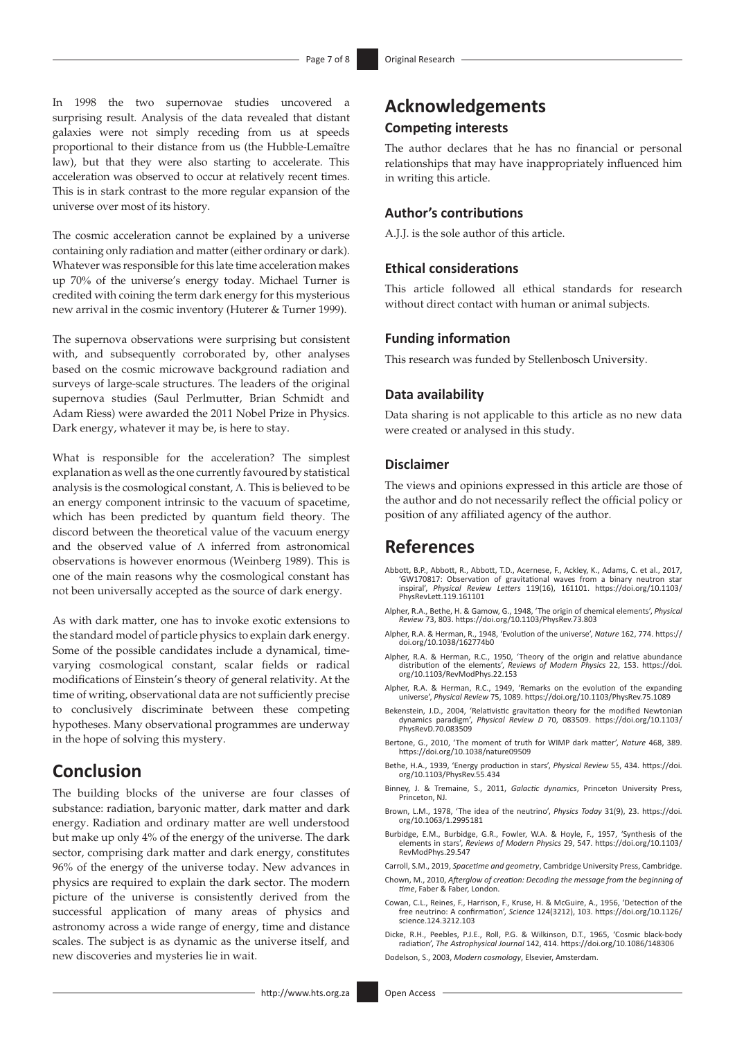In 1998 the two supernovae studies uncovered a surprising result. Analysis of the data revealed that distant galaxies were not simply receding from us at speeds proportional to their distance from us (the Hubble-Lemaître law), but that they were also starting to accelerate. This acceleration was observed to occur at relatively recent times. This is in stark contrast to the more regular expansion of the universe over most of its history.

The cosmic acceleration cannot be explained by a universe containing only radiation and matter (either ordinary or dark). Whatever was responsible for this late time acceleration makes up 70% of the universe's energy today. Michael Turner is credited with coining the term dark energy for this mysterious new arrival in the cosmic inventory (Huterer & Turner 1999).

The supernova observations were surprising but consistent with, and subsequently corroborated by, other analyses based on the cosmic microwave background radiation and surveys of large-scale structures. The leaders of the original supernova studies (Saul Perlmutter, Brian Schmidt and Adam Riess) were awarded the 2011 Nobel Prize in Physics. Dark energy, whatever it may be, is here to stay.

What is responsible for the acceleration? The simplest explanation as well as the one currently favoured by statistical analysis is the cosmological constant, Λ. This is believed to be an energy component intrinsic to the vacuum of spacetime, which has been predicted by quantum field theory. The discord between the theoretical value of the vacuum energy and the observed value of Λ inferred from astronomical observations is however enormous (Weinberg 1989). This is one of the main reasons why the cosmological constant has not been universally accepted as the source of dark energy.

As with dark matter, one has to invoke exotic extensions to the standard model of particle physics to explain dark energy. Some of the possible candidates include a dynamical, timevarying cosmological constant, scalar fields or radical modifications of Einstein's theory of general relativity. At the time of writing, observational data are not sufficiently precise to conclusively discriminate between these competing hypotheses. Many observational programmes are underway in the hope of solving this mystery.

# **Conclusion**

The building blocks of the universe are four classes of substance: radiation, baryonic matter, dark matter and dark energy. Radiation and ordinary matter are well understood but make up only 4% of the energy of the universe. The dark sector, comprising dark matter and dark energy, constitutes 96% of the energy of the universe today. New advances in physics are required to explain the dark sector. The modern picture of the universe is consistently derived from the successful application of many areas of physics and astronomy across a wide range of energy, time and distance scales. The subject is as dynamic as the universe itself, and new discoveries and mysteries lie in wait.

# **Acknowledgements Competing interests**

The author declares that he has no financial or personal relationships that may have inappropriately influenced him in writing this article.

### **Author's contributions**

A.J.J. is the sole author of this article.

### **Ethical considerations**

This article followed all ethical standards for research without direct contact with human or animal subjects.

#### **Funding information**

This research was funded by Stellenbosch University.

#### **Data availability**

Data sharing is not applicable to this article as no new data were created or analysed in this study.

#### **Disclaimer**

The views and opinions expressed in this article are those of the author and do not necessarily reflect the official policy or position of any affiliated agency of the author.

### **References**

- Abbott, B.P., Abbott, R., Abbott, T.D., Acernese, F., Ackley, K., Adams, C. et al., 2017, 'GW170817: Observation of gravitational waves from a binary neutron star inspiral', *Physical Review Letters* 119(16), 161101. [https://doi.org/10.1103/](https://doi.org/10.1103/PhysRevLett.119.161101) [PhysRevLett.119.161101](https://doi.org/10.1103/PhysRevLett.119.161101)
- Alpher, R.A., Bethe, H. & Gamow, G., 1948, 'The origin of chemical elements', *Physical Review* 73, 803.<https://doi.org/10.1103/PhysRev.73.803>
- Alpher, R.A. & Herman, R., 1948, 'Evolution of the universe', *Nature* 162, 774. [https://](https://doi.org/10.1038/162774b0) [doi.org/10.1038/162774b0](https://doi.org/10.1038/162774b0)
- Alpher, R.A. & Herman, R.C., 1950, 'Theory of the origin and relative abundance distribution of the elements', *Reviews of Modern Physics* 22, 153. [https://doi.](https://doi.org/10.1103/RevModPhys.22.153) [org/10.1103/RevModPhys.22.153](https://doi.org/10.1103/RevModPhys.22.153)
- Alpher, R.A. & Herman, R.C., 1949, 'Remarks on the evolution of the expanding universe', *Physical Review* 75, 1089.<https://doi.org/10.1103/PhysRev.75.1089>
- Bekenstein, J.D., 2004, 'Relativistic gravitation theory for the modified Newtonian dynamics paradigm', *Physical Review D* 70, 083509. [https://doi.org/10.1103/](https://doi.org/10.1103/PhysRevD.70.083509) [PhysRevD.70.083509](https://doi.org/10.1103/PhysRevD.70.083509)
- Bertone, G., 2010, 'The moment of truth for WIMP dark matter', *Nature* 468, 389. <https://doi.org/10.1038/nature09509>
- Bethe, H.A., 1939, 'Energy production in stars', *Physical Review* 55, 434. [https://doi.](https://doi.org/10.1103/PhysRev.55.434) [org/10.1103/PhysRev.55.434](https://doi.org/10.1103/PhysRev.55.434)
- Binney, J. & Tremaine, S., 2011, *Galactic dynamics*, Princeton University Press, Princeton, NJ.
- Brown, L.M., 1978, 'The idea of the neutrino', *Physics Today* 31(9), 23. [https://doi.](https://doi.org/10.1063/1.2995181) [org/10.1063/1.2995181](https://doi.org/10.1063/1.2995181)
- Burbidge, E.M., Burbidge, G.R., Fowler, W.A. & Hoyle, F., 1957, 'Synthesis of the elements in stars', *Reviews of Modern Physics* 29, 547. [https://doi.org/10.1103/](https://doi.org/10.1103/RevModPhys.29.547) [RevModPhys.29.547](https://doi.org/10.1103/RevModPhys.29.547)
- Carroll, S.M., 2019, *Spacetime and geometry*, Cambridge University Press, Cambridge.
- Chown, M., 2010, *Afterglow of creation: Decoding the message from the beginning of time*, Faber & Faber, London.
- Cowan, C.L., Reines, F., Harrison, F., Kruse, H. & McGuire, A., 1956, 'Detection of the free neutrino: A confirmation', *Science* 124(3212), 103. [https://doi.org/10.1126/](https://doi.org/10.1126/science.124.3212.103) [science.124.3212.103](https://doi.org/10.1126/science.124.3212.103)

Dicke, R.H., Peebles, P.J.E., Roll, P.G. & Wilkinson, D.T., 1965, 'Cosmic black-body radiation', *The Astrophysical Journal* 142, 414.<https://doi.org/10.1086/148306> Dodelson, S., 2003, *Modern cosmology*, Elsevier, Amsterdam.